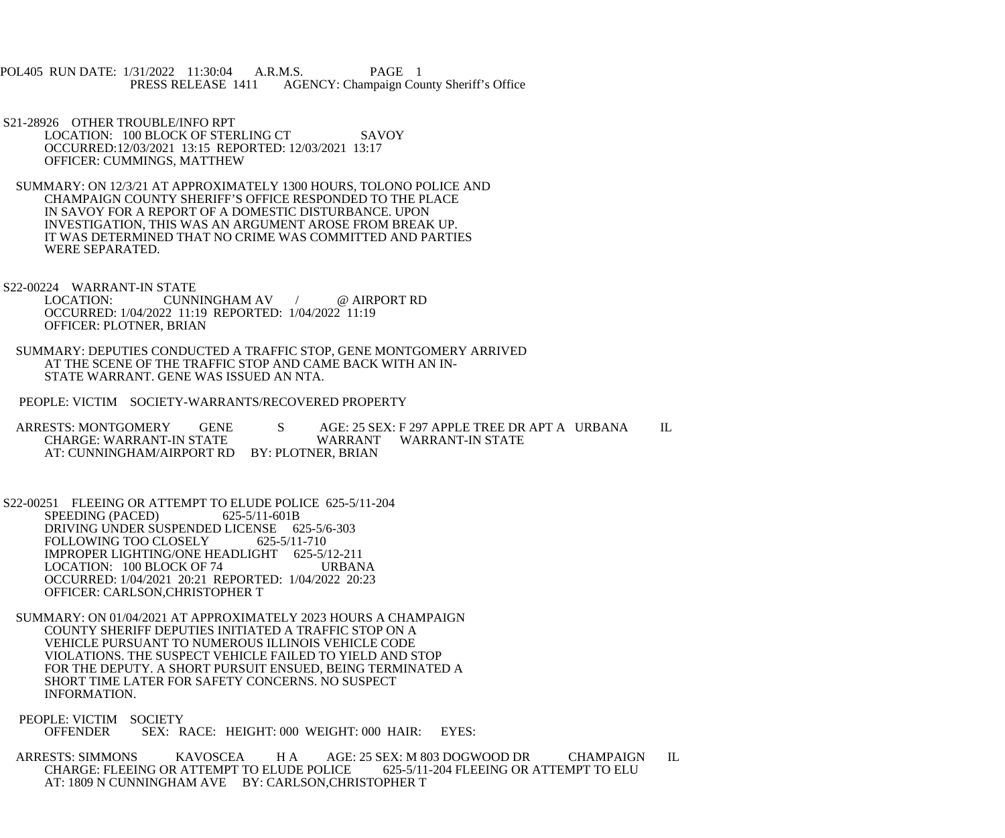POL405 RUN DATE: 1/31/2022 11:30:04 A.R.M.S. PAGE 1 PRESS RELEASE 1411 AGENCY: Champaign County Sheriff's Office

 S21-28926 OTHER TROUBLE/INFO RPT LOCATION: 100 BLOCK OF STERLING CT SAVOY OCCURRED:12/03/2021 13:15 REPORTED: 12/03/2021 13:17 OFFICER: CUMMINGS, MATTHEW

 SUMMARY: ON 12/3/21 AT APPROXIMATELY 1300 HOURS, TOLONO POLICE AND CHAMPAIGN COUNTY SHERIFF'S OFFICE RESPONDED TO THE PLACE IN SAVOY FOR A REPORT OF A DOMESTIC DISTURBANCE. UPON INVESTIGATION, THIS WAS AN ARGUMENT AROSE FROM BREAK UP. IT WAS DETERMINED THAT NO CRIME WAS COMMITTED AND PARTIES WERE SEPARATED.

S22-00224 WARRANT-IN STATE<br>LOCATION: CUNN CUNNINGHAM AV / @ AIRPORT RD OCCURRED: 1/04/2022 11:19 REPORTED: 1/04/2022 11:19 OFFICER: PLOTNER, BRIAN

 SUMMARY: DEPUTIES CONDUCTED A TRAFFIC STOP, GENE MONTGOMERY ARRIVED AT THE SCENE OF THE TRAFFIC STOP AND CAME BACK WITH AN IN- STATE WARRANT. GENE WAS ISSUED AN NTA.

PEOPLE: VICTIM SOCIETY-WARRANTS/RECOVERED PROPERTY

ARRESTS: MONTGOMERY GENE S AGE: 25 SEX: F 297 APPLE TREE DR APT A URBANA IL CHARGE: WARRANT-IN STATE CHARGE: WARRANT-IN STATE WARRANT WARRANT-IN STATE AT: CUNNINGHAM/AIRPORT RD BY: PLOTNER, BRIAN

 S22-00251 FLEEING OR ATTEMPT TO ELUDE POLICE 625-5/11-204 SPEEDING (PACED) 625-5/11-601B DRIVING UNDER SUSPENDED LICENSE 625-5/6-303<br>FOLLOWING TOO CLOSELY 625-5/11-710 FOLLOWING TOO CLOSELY IMPROPER LIGHTING/ONE HEADLIGHT 625-5/12-211 LOCATION: 100 BLOCK OF 74 URBANA OCCURRED: 1/04/2021 20:21 REPORTED: 1/04/2022 20:23 OFFICER: CARLSON,CHRISTOPHER T

 SUMMARY: ON 01/04/2021 AT APPROXIMATELY 2023 HOURS A CHAMPAIGN COUNTY SHERIFF DEPUTIES INITIATED A TRAFFIC STOP ON A VEHICLE PURSUANT TO NUMEROUS ILLINOIS VEHICLE CODE VIOLATIONS. THE SUSPECT VEHICLE FAILED TO YIELD AND STOP FOR THE DEPUTY. A SHORT PURSUIT ENSUED, BEING TERMINATED A SHORT TIME LATER FOR SAFETY CONCERNS. NO SUSPECT INFORMATION.

PEOPLE: VICTIM SOCIETY<br>OFFENDER SEX: R SEX: RACE: HEIGHT: 000 WEIGHT: 000 HAIR: EYES:

ARRESTS: SIMMONS KAVOSCEA H A AGE: 25 SEX: M 803 DOGWOOD DR CHAMPAIGN IL<br>CHARGE: FLEEING OR ATTEMPT TO ELUDE POLICE 625-5/11-204 FLEEING OR ATTEMPT TO ELU CHARGE: FLEEING OR ATTEMPT TO ELUDE POLICE AT: 1809 N CUNNINGHAM AVE BY: CARLSON,CHRISTOPHER T